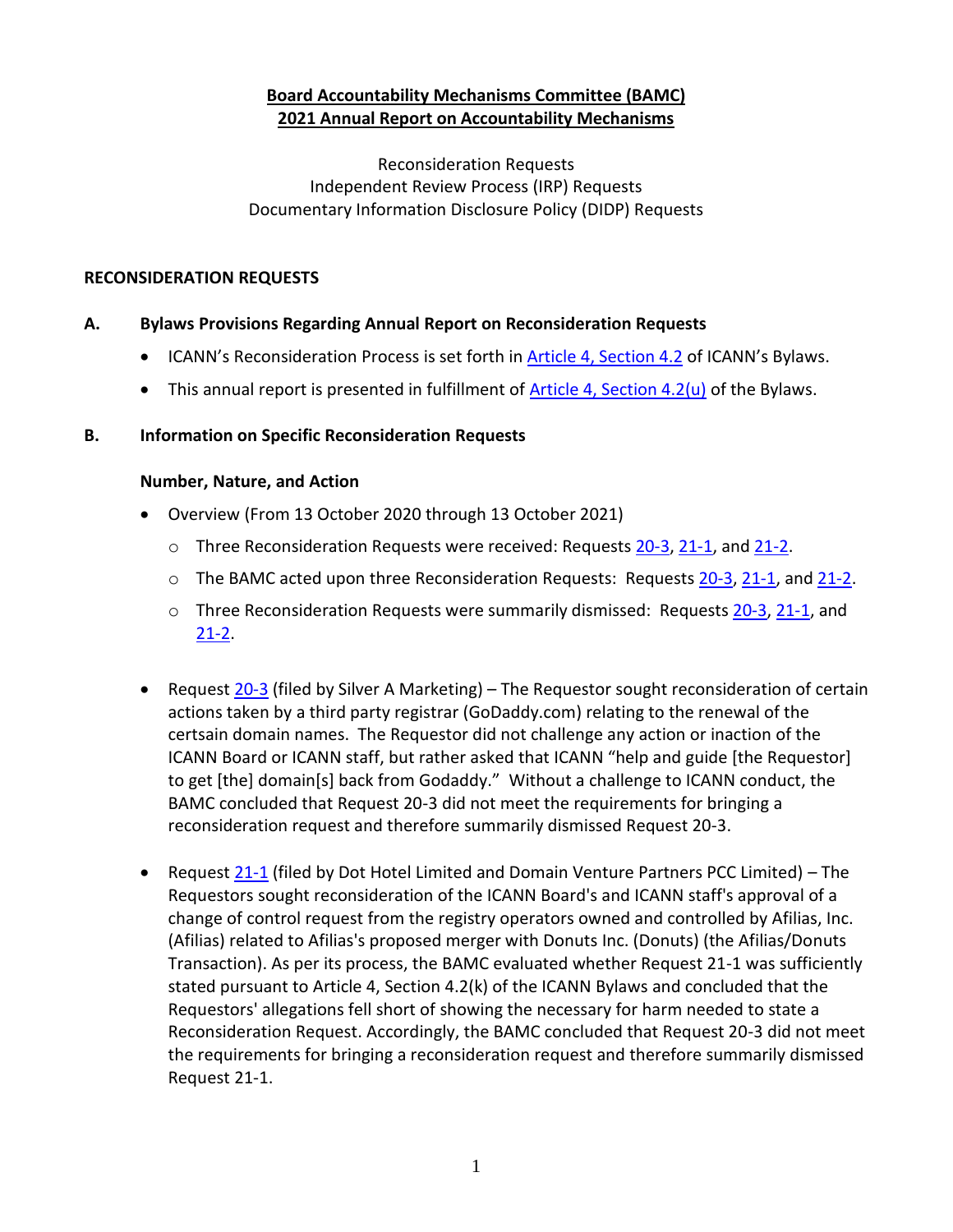# **Board Accountability Mechanisms Committee (BAMC) 2021 Annual Report on Accountability Mechanisms**

Reconsideration Requests Independent Review Process (IRP) Requests Documentary Information Disclosure Policy (DIDP) Requests

### **RECONSIDERATION REQUESTS**

### **A. Bylaws Provisions Regarding Annual Report on Reconsideration Requests**

- ICANN's Reconsideration Process is set forth i[n Article 4, Section 4.2](https://www.icann.org/resources/pages/governance/bylaws-en/#article4) of ICANN's Bylaws.
- This annual report is presented in fulfillment of **Article 4, Section 4.2(u)** of the Bylaws.

#### **B. Information on Specific Reconsideration Requests**

#### **Number, Nature, and Action**

- Overview (From 13 October 2020 through 13 October 2021)
	- $\circ$  Three Reconsideration Requests were received: Requests [20-3,](https://www.icann.org/resources/pages/reconsideration-20-3-silver-marketing-request-2020-11-18-en) [21-1,](https://www.icann.org/resources/pages/reconsideration-21-1-dot-hotel-et-al-request-2021-02-09-en) an[d 21-2.](https://www.icann.org/resources/pages/reconsideration-21-2-gupta-request-2021-06-10-en)
	- $\circ$  The BAMC acted upon three Reconsideration Requests: Requests [20-3,](https://www.icann.org/resources/pages/reconsideration-20-3-silver-marketing-request-2020-11-18-en) [21-1,](https://www.icann.org/resources/pages/reconsideration-21-1-dot-hotel-et-al-request-2021-02-09-en) and [21-2.](https://www.icann.org/resources/pages/reconsideration-21-2-gupta-request-2021-06-10-en)
	- $\circ$  Three Reconsideration Requests were summarily dismissed: Requests [20-3,](https://www.icann.org/resources/pages/reconsideration-20-3-silver-marketing-request-2020-11-18-en) [21-1,](https://www.icann.org/resources/pages/reconsideration-21-1-dot-hotel-et-al-request-2021-02-09-en) and  $21-2$ .
- Request [20-3](https://www.icann.org/resources/pages/reconsideration-20-3-silver-marketing-request-2020-11-18-en) (filed by Silver A Marketing) The Requestor sought reconsideration of certain actions taken by a third party registrar (GoDaddy.com) relating to the renewal of the certsain domain names. The Requestor did not challenge any action or inaction of the ICANN Board or ICANN staff, but rather asked that ICANN "help and guide [the Requestor] to get [the] domain[s] back from Godaddy." Without a challenge to ICANN conduct, the BAMC concluded that Request 20-3 did not meet the requirements for bringing a reconsideration request and therefore summarily dismissed Request 20-3.
- Request  $21-1$  (filed by Dot Hotel Limited and Domain Venture Partners PCC Limited) The Requestors sought reconsideration of the ICANN Board's and ICANN staff's approval of a change of control request from the registry operators owned and controlled by Afilias, Inc. (Afilias) related to Afilias's proposed merger with Donuts Inc. (Donuts) (the Afilias/Donuts Transaction). As per its process, the BAMC evaluated whether Request 21-1 was sufficiently stated pursuant to Article 4, Section 4.2(k) of the ICANN Bylaws and concluded that the Requestors' allegations fell short of showing the necessary for harm needed to state a Reconsideration Request. Accordingly, the BAMC concluded that Request 20-3 did not meet the requirements for bringing a reconsideration request and therefore summarily dismissed Request 21-1.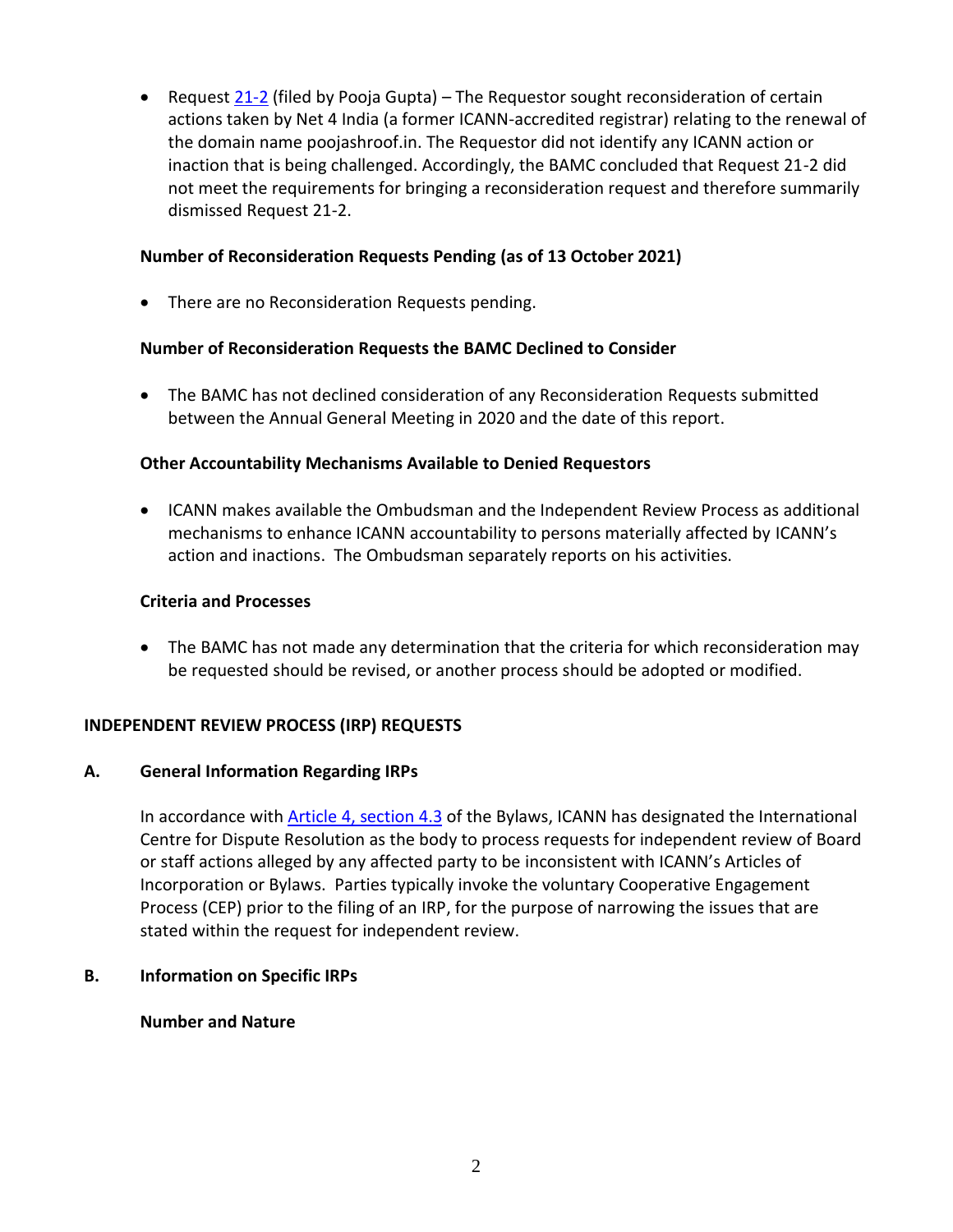• Request [21-2](https://www.icann.org/resources/pages/reconsideration-21-2-gupta-request-2021-06-10-en) (filed by Pooja Gupta) – The Requestor sought reconsideration of certain actions taken by Net 4 India (a former ICANN-accredited registrar) relating to the renewal of the domain name poojashroof.in. The Requestor did not identify any ICANN action or inaction that is being challenged. Accordingly, the BAMC concluded that Request 21-2 did not meet the requirements for bringing a reconsideration request and therefore summarily dismissed Request 21-2.

### **Number of Reconsideration Requests Pending (as of 13 October 2021)**

• There are no Reconsideration Requests pending.

#### **Number of Reconsideration Requests the BAMC Declined to Consider**

• The BAMC has not declined consideration of any Reconsideration Requests submitted between the Annual General Meeting in 2020 and the date of this report.

#### **Other Accountability Mechanisms Available to Denied Requestors**

• ICANN makes available the Ombudsman and the Independent Review Process as additional mechanisms to enhance ICANN accountability to persons materially affected by ICANN's action and inactions. The Ombudsman separately reports on his activities.

#### **Criteria and Processes**

• The BAMC has not made any determination that the criteria for which reconsideration may be requested should be revised, or another process should be adopted or modified.

#### **INDEPENDENT REVIEW PROCESS (IRP) REQUESTS**

#### **A. General Information Regarding IRPs**

In accordance with [Article 4, section 4.3](https://www.icann.org/resources/pages/governance/bylaws-en/#article4) of the Bylaws, ICANN has designated the International Centre for Dispute Resolution as the body to process requests for independent review of Board or staff actions alleged by any affected party to be inconsistent with ICANN's Articles of Incorporation or Bylaws. Parties typically invoke the voluntary Cooperative Engagement Process (CEP) prior to the filing of an IRP, for the purpose of narrowing the issues that are stated within the request for independent review.

#### **B. Information on Specific IRPs**

#### **Number and Nature**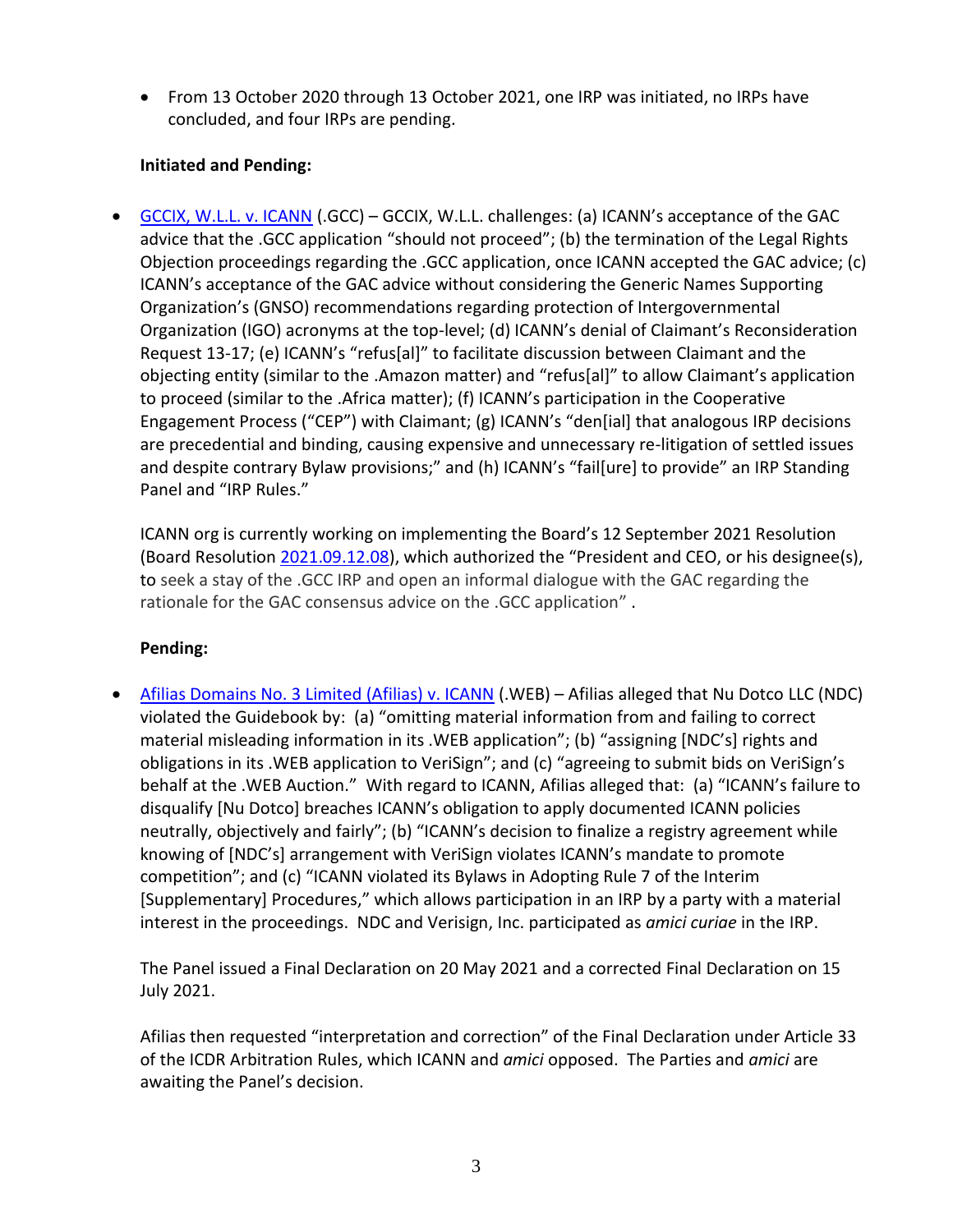• From 13 October 2020 through 13 October 2021, one IRP was initiated, no IRPs have concluded, and four IRPs are pending.

## **Initiated and Pending:**

• [GCCIX, W.L.L. v. ICANN](https://www.icann.org/resources/pages/irp-gccix-v-icann-2021-07-26-en) (.GCC) – GCCIX, W.L.L. challenges: (a) ICANN's acceptance of the GAC advice that the .GCC application "should not proceed"; (b) the termination of the Legal Rights Objection proceedings regarding the .GCC application, once ICANN accepted the GAC advice; (c) ICANN's acceptance of the GAC advice without considering the Generic Names Supporting Organization's (GNSO) recommendations regarding protection of Intergovernmental Organization (IGO) acronyms at the top-level; (d) ICANN's denial of Claimant's Reconsideration Request 13-17; (e) ICANN's "refus[al]" to facilitate discussion between Claimant and the objecting entity (similar to the .Amazon matter) and "refus[al]" to allow Claimant's application to proceed (similar to the .Africa matter); (f) ICANN's participation in the Cooperative Engagement Process ("CEP") with Claimant; (g) ICANN's "den[ial] that analogous IRP decisions are precedential and binding, causing expensive and unnecessary re-litigation of settled issues and despite contrary Bylaw provisions;" and (h) ICANN's "fail[ure] to provide" an IRP Standing Panel and "IRP Rules."

ICANN org is currently working on implementing the Board's 12 September 2021 Resolution (Board Resolution [2021.09.12.08\)](https://www.icann.org/resources/board-material/resolutions-2021-09-12-en#2.b), which authorized the "President and CEO, or his designee(s), to seek a stay of the .GCC IRP and open an informal dialogue with the GAC regarding the rationale for the GAC consensus advice on the .GCC application" .

## **Pending:**

• [Afilias Domains No. 3 Limited \(Afilias\) v. ICANN](https://www.icann.org/resources/pages/irp-afilias-v-icann-2018-11-30-en) (.WEB) – Afilias alleged that Nu Dotco LLC (NDC) violated the Guidebook by: (a) "omitting material information from and failing to correct material misleading information in its .WEB application"; (b) "assigning [NDC's] rights and obligations in its .WEB application to VeriSign"; and (c) "agreeing to submit bids on VeriSign's behalf at the .WEB Auction." With regard to ICANN, Afilias alleged that: (a) "ICANN's failure to disqualify [Nu Dotco] breaches ICANN's obligation to apply documented ICANN policies neutrally, objectively and fairly"; (b) "ICANN's decision to finalize a registry agreement while knowing of [NDC's] arrangement with VeriSign violates ICANN's mandate to promote competition"; and (c) "ICANN violated its Bylaws in Adopting Rule 7 of the Interim [Supplementary] Procedures," which allows participation in an IRP by a party with a material interest in the proceedings. NDC and Verisign, Inc. participated as *amici curiae* in the IRP.

The Panel issued a Final Declaration on 20 May 2021 and a corrected Final Declaration on 15 July 2021.

Afilias then requested "interpretation and correction" of the Final Declaration under Article 33 of the ICDR Arbitration Rules, which ICANN and *amici* opposed. The Parties and *amici* are awaiting the Panel's decision.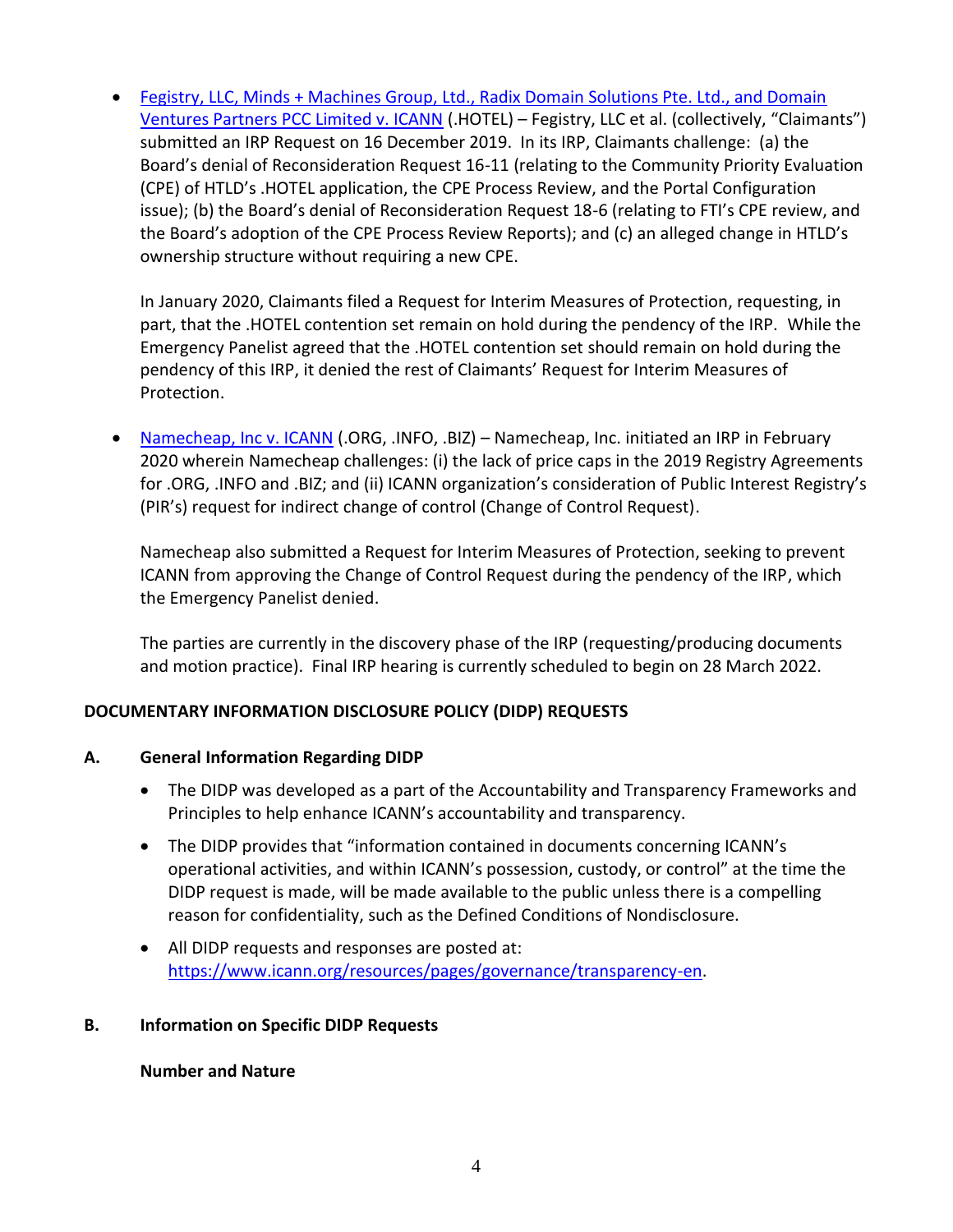• [Fegistry, LLC, Minds + Machines Group, Ltd., Radix Domain Solutions Pte. Ltd., and Domain](https://www.icann.org/resources/pages/irp-fegistry-et-al-v-icann-hotel-2019-12-20-en)  [Ventures Partners PCC Limited v. ICANN](https://www.icann.org/resources/pages/irp-fegistry-et-al-v-icann-hotel-2019-12-20-en) (.HOTEL) - Fegistry, LLC et al. (collectively, "Claimants") submitted an IRP Request on 16 December 2019. In its IRP, Claimants challenge: (a) the Board's denial of Reconsideration Request 16-11 (relating to the Community Priority Evaluation (CPE) of HTLD's .HOTEL application, the CPE Process Review, and the Portal Configuration issue); (b) the Board's denial of Reconsideration Request 18-6 (relating to FTI's CPE review, and the Board's adoption of the CPE Process Review Reports); and (c) an alleged change in HTLD's ownership structure without requiring a new CPE.

In January 2020, Claimants filed a Request for Interim Measures of Protection, requesting, in part, that the .HOTEL contention set remain on hold during the pendency of the IRP. While the Emergency Panelist agreed that the .HOTEL contention set should remain on hold during the pendency of this IRP, it denied the rest of Claimants' Request for Interim Measures of Protection.

• [Namecheap, Inc v. ICANN](https://www.icann.org/resources/pages/irp-namecheap-v-icann-2020-03-03-en) (.ORG, .INFO, .BIZ) – Namecheap, Inc. initiated an IRP in February 2020 wherein Namecheap challenges: (i) the lack of price caps in the 2019 Registry Agreements for .ORG, .INFO and .BIZ; and (ii) ICANN organization's consideration of Public Interest Registry's (PIR's) request for indirect change of control (Change of Control Request).

Namecheap also submitted a Request for Interim Measures of Protection, seeking to prevent ICANN from approving the Change of Control Request during the pendency of the IRP, which the Emergency Panelist denied.

The parties are currently in the discovery phase of the IRP (requesting/producing documents and motion practice). Final IRP hearing is currently scheduled to begin on 28 March 2022.

## **DOCUMENTARY INFORMATION DISCLOSURE POLICY (DIDP) REQUESTS**

## **A. General Information Regarding DIDP**

- The DIDP was developed as a part of the Accountability and Transparency Frameworks and Principles to help enhance ICANN's accountability and transparency.
- The DIDP provides that "information contained in documents concerning ICANN's operational activities, and within ICANN's possession, custody, or control" at the time the DIDP request is made, will be made available to the public unless there is a compelling reason for confidentiality, such as the Defined Conditions of Nondisclosure.
- All DIDP requests and responses are posted at: [https://www.icann.org/resources/pages/governance/transparency-en.](https://www.icann.org/resources/pages/governance/transparency-en)

#### **B. Information on Specific DIDP Requests**

#### **Number and Nature**